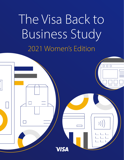The Visa Back to Business Study 2021 Women's Edition

 $\overline{O}$   $\overline{O}$   $\overline{O}$ 

 $)$ )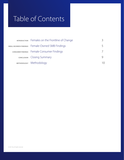# Table of Contents

| <b>INTRODUCTION</b> Females on the Frontline of Change |  |
|--------------------------------------------------------|--|
| SMALL BUSINESS FINDINGS  Female-Owned SMB Findings     |  |
| CONSUMER FINDINGS Female Consumer Findings             |  |
| <b>CONCLUSION</b> Closing Summary                      |  |
| METHODOLOGY Methodology                                |  |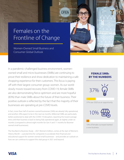## <span id="page-2-0"></span>Females on the Frontline of Change

**OPEN** 

Women-Owned Small Business and Consumer Global Outlook

In a pandemic-challenged business environment, womenowned small and micro businesses (SMBs) are continuing to prove their resilience and show dedication to maintaining a safe shopping experience for their customers. This focus is paying off with their largest consumer group: women. As our world slowly moves toward recovery from COVID-19, female SMBs are also demonstrating fierce optimism and are more hopeful (83%) than male SMBs about the future of their business. Their positive outlook is reflected by the fact that the majority of their businesses are operating at pre-COVID levels.

In fact, more than half of women-owned businesses (54%) are already fully operational, and another 24% expect to be in the next six months. Millennial SMBs are particularly better positioned to deal with the COVID-19 disruption, reporting the lowest average time until their business is back to being fully operational again, at slightly under six months (compared to almost eight months for Gen X and 11 months for Boomerowned small businesses).

The Visa Back to Business Study – 2021 Women's Edition, comes at the start of Women's History Month – a pivotal time for companies to accelerate their financial and educational support for women-owned small businesses – and provides an outlook on how we can continue to support this vital group in 2021 and beyond.

# **FEMALE SMBS BY THE NUMBERS** 37% 37% saw 2020 as an opportunity 10% 10% of females surveyed started a new business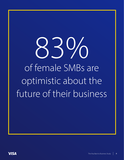# 97 of female SMBs are optimistic about the future of their business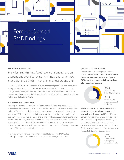<span id="page-4-0"></span>

#### **FAILING IS NOT AN OPTION**

Many female SMBs have faced recent challenges head on, adapting and even flourishing in this new business climate, especially female-SMBs in Hong Kong, Singapore and UAE.

Nearly all (96%) are more likely to have taken steps to adapt their business, more than their peers in the U.S., Canada, Ireland and Germany (78% each). The most popular change among all regions is selling more products or services online: 50% of those in Hong Kong, Singapore and UAE, 47% of those in the U.S. and Canada, and 38% of those in Germany, Ireland and Russia.

#### **OPTIMISM IS THE DRIVING FORCE**

**VISA** 

Contrary to conventional wisdom, smaller businesses believe they have what it takes to weather even worse economic storms. Female SMBs at companies of 10 employees or less (45%) are far less likely than their counterparts at companies of more than 10 employees (62%) to believe that their business will go under in a few months if the economic situation worsens. Instead of allowing pandemic-related challenges to hold their businesses back, they used improvisation and innovation to push forward. More than a third of female SMBs (37%) saw COVID-19 as more of an opportunity than a challenge. Of those, 42% said they were able to focus on new or different products, and another 37% expanded their sales channels.

The youngest group of business owners were able to view the 2020 market landscape through their openness to change and technological expertise.

#### **STAYING SAFELY CONNECTED**

When it comes to shifting their business online, **female SMBs in the U.S. and Canada (36%) and Germany, Ireland and Russia (37%) are most concerned about the loss of personal connection.** 

> 36% 37%

of female SMBs in the U.S. and Canada

of female SMBs in Germany, Ireland and Russia

**Those in Hong Kong, Singapore and UAE are most concerned about data privacy and lack of tech expertise** (37% each). This concern may be driven by the fact that female SMBs in Hong Kong, Singapore and UAE (50%) are twice as likely as those in the U.S. and Canada (25%) and Germany, Ireland and Russia (23%) to cite customer concerns over fraud as a frequent obstacle to using new tech.

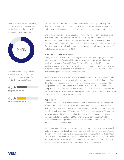More than 4 in 5 female SMBs (84%) took steps to adapt their payment methods to meet the needs of shoppers in this new normal.



The most common steps female entrepreneurs took were to sell products online (45%) and offer contactless payments (43%).

45% sell products online

43% offer contactless payment Millennial female SMBs (43%) were more likely to view 2020 as a period of opportunity than Gen X (32%) and Boomer (24%) SMBs. Tech-savvy female SMBs (47%) are more likely than tech-challenged peers (29%) to have seen 2020 as an opportunity.

One of the key adjustments was updating to more safe ways to complete sales. More than 4 in 5 female SMBs (84%) took steps to adapt their payment methods to meet the needs of shoppers in this new normal. Female SMBs most often tweaked their businesses by aligning with shopping behaviors that women historically lead the way in. The most common steps female entrepreneurs took were to sell products online (45%) and offer contactless payments (43%).

#### **ADAPTING TO CONSUMERS' NEEDS**

Though older adults are more vulnerable, younger women are shopping online more often. Nearly three in five (59%) Millennial women are shopping online whenever possible, compared to Gen X (50%) and Boomer (42%) women. But, it's not always possible to shop online, so when women leave their computer or phone screen for an in-person shopping experience, they want stores and SMBs to take precautions for a particularly high-risk interaction – the cash register.

A clear majority of women (64%) say they expect brick-and-mortar retail stores to offer contactless payment options. In fact, Millennial women are more likely than their Gen X and Boomer counterparts to expect the ability to use mobile payment apps (46%, compared to 40% of Gen Xers and 26% of Boomers) as well as mobile wallets (40%, compared to 33% of Gen Xers and 22% of Boomers). If a store does not offer contactless payment options, it's a deal-breaker for nearly half (49%) of Millennial women, compared to 37% of Gen X and 39% of Boomer women.

#### **TECH EFFECT**

Younger female SMBs may be the models for how to adapt and evolve during tough economic times. Millennials (41%) are more likely to be proficient with technology than Gen Xers (29%) or Boomers (15%) and are therefore much more likely to see the benefits of tech investment (93% vs. 81% of Gen X and 72% of Boomers). Despite cost being a major consideration, technology tools are necessary to compete in today's business marketplace and female SMB owners at larger companies (96%) still see investment in technology to meet consumer expectations as critical, more so than those at smaller companies (81%).

After having stepped up to meet consumer expectations during 2020, there's generally no turning back on the digital front. Over nine in 10 (93%) tech-savvy female SMBs see the demand for tech investments to remain relevant, compared to about three in four (76%) of their novice peers. For those determined female SMBs, the COVID crisis served notice of the need to prepare for the challenges to come. More than four in five (86%) tech-savvy female SMBs plan to continue digitizing business operations.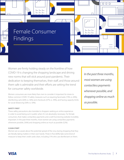<span id="page-6-0"></span>

Women are firmly holding steady on the frontline of how COVID-19 is changing the shopping landscape and driving new norms that will stick around post-pandemic. Their dedication to keeping themselves, their staff, and those around them safe is admirable and their efforts are setting the trend for consumer safety worldwide.

Women consumers are more likely than men to consider it important for stores to follow common COVID-19 safety measures such as requiring facemasks (74% vs. 69%), disinfecting carts (64% vs. 56%) and checkouts (47% vs. 39%), and having capacity limits for social distancing (56% vs. 50%).

#### **SAFETY FIRST**

These safety precautions also translate to shoppers seeking an online experience in order to avoid being out in public when it's not absolutely necessary. For female consumers, that makes contactless payments and a well-functioning website incredibly important. In the past three months, most women are using contactless payments whenever possible, (56%) and shopping online as much as possible (52%).

#### **CLEAN START**

Women are so aware about the potential spread of the virus during shopping that they are literally taking matters in their own hands. Three in five (60%) take some kind of measure to keep their credit cards clean, including 31% who use disinfectant on them.

*In the past three months, most women are using contactless payments whenever possible, and shopping online as much as possible.*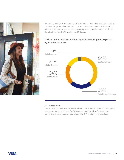

A surprising number of trend-setting Millennial women have eliminated credit cards as an option altogether when shopping in person. About one in seven (14%) card-using Millennials stopped using cards for in-person payments altogether, more than double the rate of their Gen X (6%) and Boomer (2%) peers.

#### **Cash Or Contactless: Top In-Store Digital Payment Options Expected By Female Customers**



#### **NO LOOKING BACK**

The pandemic has permanently raised the bar for women's expectations of safe shopping experiences. More than three in five (62%) women say they will prefer contactless payments just as much or even more after a COVID-19 vaccine is widely available.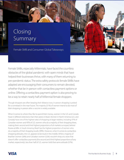## <span id="page-8-0"></span>Closing Summary

Female SMB and Consumer Global Takeaways



Female SMBs, especially Millennials, have faced the countless obstacles of the global pandemic with open minds that have helped their businesses thrive, with many of them returning to pre-pandemic status. The extra safety protocols female SMBs have adapted are encouraging their consumers to remain devoted, whether that be in-person with contactless payment options or online. Offering a contactless payment option is also proving to be a way to retain nearly half of Millennial female shoppers.

Though shoppers are often keeping their distance now, in-person shopping is poised for a comeback in the near future. The majority (51%) of women intend to do most of their shopping in-person after a vaccine is widely available.

When it comes to where they like to spend their money, women in the U.S. and Canada head in different directions than their peers in Brazil. Women in North America (U.S. and Canada) have one of the highest rates of shopping at larger retailers, including 47% of Canadian women and 45% of U.S. women who do a majority of their shopping there, making them second and third highest proportions of all markets surveyed, behind Russia at 69%. In South America, Brazil has the highest proportion of women who do a majority of their shopping locally (39%). However, when it comes to contactless shopping attitudes, the U.S. appears to be stuck in the middle. While a majority of Brazilian women (58%) and Canadian women (52%) wouldn't shop at a store that doesn't offer contactless payments (the second and third highest proportions of any market, respectively), less than half of U.S. women hold that same attitude (37%).